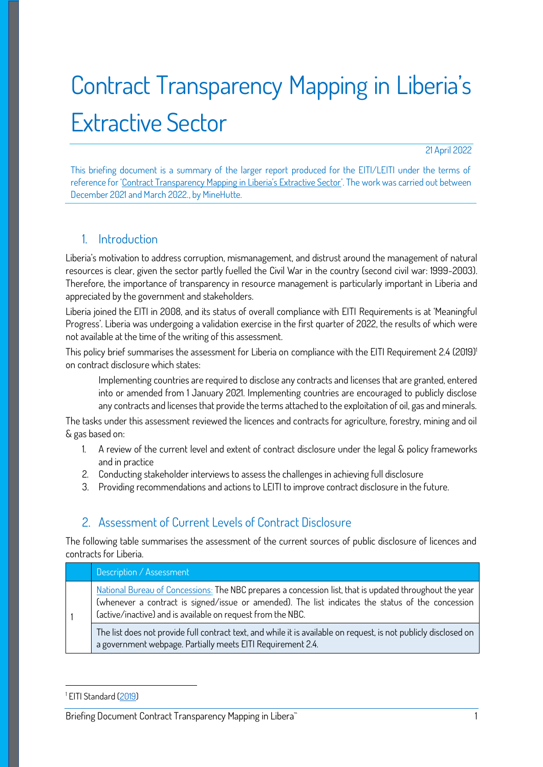# Contract Transparency Mapping in Liberia's Extractive Sector

21 April 2022

This briefing document is a summary of the larger report produced for the EITI/LEITI under the terms of reference for 'Contract Transparency Mapping in Liberia's Extractive Sector'. The work was carried out between December 2021 and March 2022., by MineHutte.

## 1. Introduction

Liberia's motivation to address corruption, mismanagement, and distrust around the management of natural resources is clear, given the sector partly fuelled the Civil War in the country (second civil war: 1999-2003). Therefore, the importance of transparency in resource management is particularly important in Liberia and appreciated by the government and stakeholders.

Liberia joined the EITI in 2008, and its status of overall compliance with EITI Requirements is at 'Meaningful Progress'. Liberia was undergoing a validation exercise in the first quarter of 2022, the results of which were not available at the time of the writing of this assessment.

This policy brief summarises the assessment for Liberia on compliance with the EITI Requirement 2.4 (2019)<sup>1</sup> on contract disclosure which states:

Implementing countries are required to disclose any contracts and licenses that are granted, entered into or amended from 1 January 2021. Implementing countries are encouraged to publicly disclose any contracts and licenses that provide the terms attached to the exploitation of oil, gas and minerals.

The tasks under this assessment reviewed the licences and contracts for agriculture, forestry, mining and oil & gas based on:

- 1. A review of the current level and extent of contract disclosure under the legal & policy frameworks and in practice
- 2. Conducting stakeholder interviews to assess the challenges in achieving full disclosure
- 3. Providing recommendations and actions to LEITI to improve contract disclosure in the future.

## 2. Assessment of Current Levels of Contract Disclosure

The following table summarises the assessment of the current sources of public disclosure of licences and contracts for Liberia.

| Description / Assessment                                                                                                                                                                                                                                                    |
|-----------------------------------------------------------------------------------------------------------------------------------------------------------------------------------------------------------------------------------------------------------------------------|
| National Bureau of Concessions: The NBC prepares a concession list, that is updated throughout the year<br>(whenever a contract is signed/issue or amended). The list indicates the status of the concession<br>(active/inactive) and is available on request from the NBC. |
| The list does not provide full contract text, and while it is available on request, is not publicly disclosed on<br>a government webpage. Partially meets EITI Requirement 2.4.                                                                                             |

<sup>&</sup>lt;sup>1</sup> EITI Standard (<u>2019</u>)

Briefing Document Contract Transparency Mapping in Libera<sup>\*</sup> The Contract of the Contract of the 1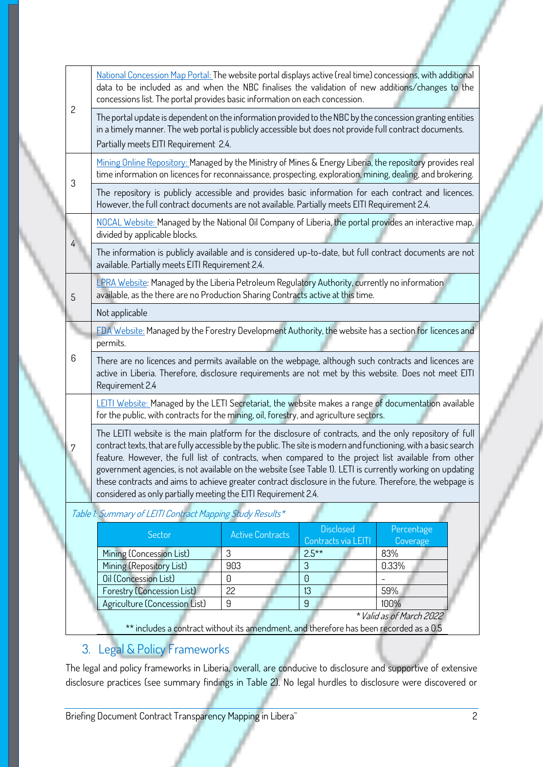| $\mathbf{2}$                                                                                                                                                                                                                                                                                                                                                                                                                                                                                                                                                                                                                        | National Concession Map Portal: The website portal displays active (real time) concessions, with additional<br>data to be included as and when the NBC finalises the validation of new additions/changes to the<br>concessions list. The portal provides basic information on each concession. |                         |                                |                 |  |  |  |
|-------------------------------------------------------------------------------------------------------------------------------------------------------------------------------------------------------------------------------------------------------------------------------------------------------------------------------------------------------------------------------------------------------------------------------------------------------------------------------------------------------------------------------------------------------------------------------------------------------------------------------------|------------------------------------------------------------------------------------------------------------------------------------------------------------------------------------------------------------------------------------------------------------------------------------------------|-------------------------|--------------------------------|-----------------|--|--|--|
|                                                                                                                                                                                                                                                                                                                                                                                                                                                                                                                                                                                                                                     | The portal update is dependent on the information provided to the NBC by the concession granting entities<br>in a timely manner. The web portal is publicly accessible but does not provide full contract documents.<br>Partially meets EITI Requirement 2.4.                                  |                         |                                |                 |  |  |  |
| 3                                                                                                                                                                                                                                                                                                                                                                                                                                                                                                                                                                                                                                   | Mining Online Repository: Managed by the Ministry of Mines & Energy Liberia, the repository provides real<br>time information on licences for reconnaissance, prospecting, exploration, mining, dealing, and brokering.                                                                        |                         |                                |                 |  |  |  |
|                                                                                                                                                                                                                                                                                                                                                                                                                                                                                                                                                                                                                                     | The repository is publicly accessible and provides basic information for each contract and licences.<br>However, the full contract documents are not available. Partially meets EITI Requirement 2.4.                                                                                          |                         |                                |                 |  |  |  |
|                                                                                                                                                                                                                                                                                                                                                                                                                                                                                                                                                                                                                                     | NOCAL Website: Managed by the National Oil Company of Liberia, the portal provides an interactive map,<br>divided by applicable blocks.                                                                                                                                                        |                         |                                |                 |  |  |  |
| $\overline{4}$                                                                                                                                                                                                                                                                                                                                                                                                                                                                                                                                                                                                                      | The information is publicly available and is considered up-to-date, but full contract documents are not<br>available. Partially meets EITI Requirement 2.4.                                                                                                                                    |                         |                                |                 |  |  |  |
| 5                                                                                                                                                                                                                                                                                                                                                                                                                                                                                                                                                                                                                                   | LPRA Website: Managed by the Liberia Petroleum Regulatory Authority, currently no information<br>available, as the there are no Production Sharing Contracts active at this time.                                                                                                              |                         |                                |                 |  |  |  |
|                                                                                                                                                                                                                                                                                                                                                                                                                                                                                                                                                                                                                                     | Not applicable                                                                                                                                                                                                                                                                                 |                         |                                |                 |  |  |  |
|                                                                                                                                                                                                                                                                                                                                                                                                                                                                                                                                                                                                                                     | FDA Website: Managed by the Forestry Development Authority, the website has a section for licences and<br>permits.                                                                                                                                                                             |                         |                                |                 |  |  |  |
| 6                                                                                                                                                                                                                                                                                                                                                                                                                                                                                                                                                                                                                                   | There are no licences and permits available on the webpage, although such contracts and licences are<br>active in Liberia. Therefore, disclosure requirements are not met by this website. Does not meet EITI<br>Requirement 2.4                                                               |                         |                                |                 |  |  |  |
|                                                                                                                                                                                                                                                                                                                                                                                                                                                                                                                                                                                                                                     | LEITI Website: Managed by the LETI Secretariat, the website makes a range of documentation available<br>for the public, with contracts for the mining, oil, forestry, and agriculture sectors.                                                                                                 |                         |                                |                 |  |  |  |
| The LEITI website is the main platform for the disclosure of contracts, and the only repository of full<br>contract texts, that are fully accessible by the public. The site is modern and functioning, with a basic search<br>7<br>feature. However, the full list of contracts, when compared to the project list available from other<br>government agencies, is not available on the website (see Table 1). LETI is currently working on updating<br>these contracts and aims to achieve greater contract disclosure in the future. Therefore, the webpage is<br>considered as only partially meeting the EITI Requirement 2.4. |                                                                                                                                                                                                                                                                                                |                         |                                |                 |  |  |  |
| Table 1: Summary of LEITI Contract Mapping Study Results*                                                                                                                                                                                                                                                                                                                                                                                                                                                                                                                                                                           |                                                                                                                                                                                                                                                                                                |                         |                                |                 |  |  |  |
|                                                                                                                                                                                                                                                                                                                                                                                                                                                                                                                                                                                                                                     |                                                                                                                                                                                                                                                                                                |                         | <b>Disclosed</b>               |                 |  |  |  |
|                                                                                                                                                                                                                                                                                                                                                                                                                                                                                                                                                                                                                                     | Sector                                                                                                                                                                                                                                                                                         | <b>Active Contracts</b> |                                | Percentage      |  |  |  |
|                                                                                                                                                                                                                                                                                                                                                                                                                                                                                                                                                                                                                                     | Mining (Concession List)                                                                                                                                                                                                                                                                       | 3                       | Contracts via LEITI<br>$2.5**$ | Coverage<br>83% |  |  |  |
|                                                                                                                                                                                                                                                                                                                                                                                                                                                                                                                                                                                                                                     | Mining (Repository List)                                                                                                                                                                                                                                                                       | 903                     | 3                              | 0.33%           |  |  |  |
|                                                                                                                                                                                                                                                                                                                                                                                                                                                                                                                                                                                                                                     | Oil (Concession List)                                                                                                                                                                                                                                                                          | 0                       | $\Theta$                       |                 |  |  |  |
|                                                                                                                                                                                                                                                                                                                                                                                                                                                                                                                                                                                                                                     | <b>Forestry (Concession List)</b><br>Agriculture (Concession List)                                                                                                                                                                                                                             | 22<br>$\mathsf g$       | 13<br>9                        | 59%<br>100%     |  |  |  |

\*\* includes a contract without its amendment, and therefore has been recorded as a 0.5

# 3. Legal & Policy Frameworks

The legal and policy frameworks in Liberia, overall, are conducive to disclosure and supportive of extensive disclosure practices (see summary findings in Table 2). No legal hurdles to disclosure were discovered or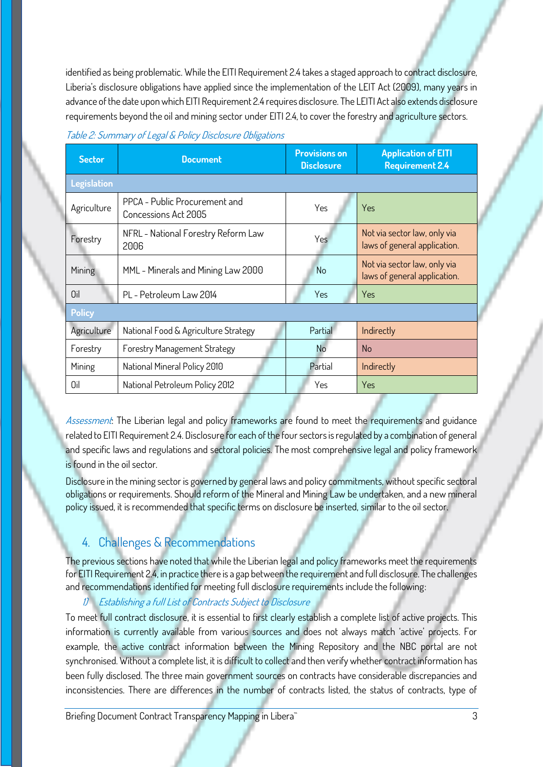identified as being problematic. While the EITI Requirement 2.4 takes a staged approach to contract disclosure, Liberia's disclosure obligations have applied since the implementation of the LEIT Act (2009), many years in advance of the date upon which EITI Requirement 2.4 requires disclosure. The LEITI Act also extends disclosure requirements beyond the oil and mining sector under EITI 2.4, to cover the forestry and agriculture sectors.

| Table 2: Summary of Legal & Policy Disclosure Obligations |  |  |
|-----------------------------------------------------------|--|--|
|                                                           |  |  |

| <b>Sector</b>      | <b>Document</b>                                       | <b>Provisions on</b><br><b>Disclosure</b> | <b>Application of EITI</b><br><b>Requirement 2.4</b>         |  |  |  |  |
|--------------------|-------------------------------------------------------|-------------------------------------------|--------------------------------------------------------------|--|--|--|--|
| <b>Legislation</b> |                                                       |                                           |                                                              |  |  |  |  |
| Agriculture        | PPCA - Public Procurement and<br>Concessions Act 2005 | Yes                                       | Yes                                                          |  |  |  |  |
| Forestry           | NFRL - National Forestry Reform Law<br>2006           | Yes                                       | Not via sector law, only via<br>laws of general application. |  |  |  |  |
| Mining             | MML - Minerals and Mining Law 2000                    | No                                        | Not via sector law, only via<br>laws of general application. |  |  |  |  |
| Oil                | PL - Petroleum Law 2014                               | Yes                                       | Yes                                                          |  |  |  |  |
| <b>Policy</b>      |                                                       |                                           |                                                              |  |  |  |  |
| Agriculture        | National Food & Agriculture Strategy                  | Partial                                   | Indirectly                                                   |  |  |  |  |
| Forestry           | <b>Forestry Management Strategy</b>                   | N <sub>o</sub>                            | <b>No</b>                                                    |  |  |  |  |
| Mining             | National Mineral Policy 2010                          | Partial                                   | Indirectly                                                   |  |  |  |  |
| Oil                | National Petroleum Policy 2012                        | Yes                                       | <b>Yes</b>                                                   |  |  |  |  |

Assessment: The Liberian legal and policy frameworks are found to meet the requirements and guidance related to EITI Requirement 2.4. Disclosure for each of the four sectors is regulated by a combination of general and specific laws and regulations and sectoral policies. The most comprehensive legal and policy framework is found in the oil sector.

Disclosure in the mining sector is governed by general laws and policy commitments, without specific sectoral obligations or requirements. Should reform of the Mineral and Mining Law be undertaken, and a new mineral policy issued, it is recommended that specific terms on disclosure be inserted, similar to the oil sector.

# 4. Challenges & Recommendations

The previous sections have noted that while the Liberian legal and policy frameworks meet the requirements for EITI Requirement 2.4, in practice there is a gap between the requirement and full disclosure. The challenges and recommendations identified for meeting full disclosure requirements include the following:

### 1) Establishing a full List of Contracts Subject to Disclosure

To meet full contract disclosure, it is essential to first clearly establish a complete list of active projects. This information is currently available from various sources and does not always match 'active' projects. For example, the active contract information between the Mining Repository and the NBC portal are not synchronised. Without a complete list, it is difficult to collect and then verify whether contract information has been fully disclosed. The three main government sources on contracts have considerable discrepancies and inconsistencies. There are differences in the number of contracts listed, the status of contracts, type of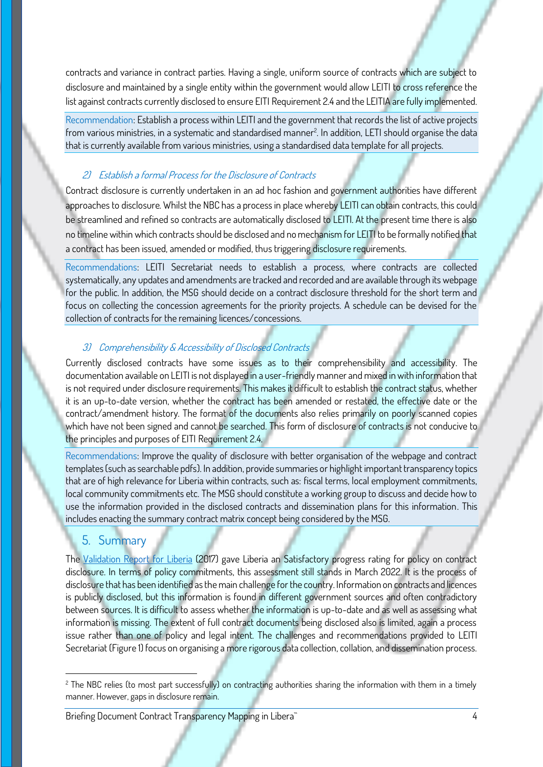contracts and variance in contract parties. Having a single, uniform source of contracts which are subject to disclosure and maintained by a single entity within the government would allow LEITI to cross reference the list against contracts currently disclosed to ensure EITI Requirement 2.4 and the LEITIA are fully implemented.

Recommendation: Establish a process within LEITI and the government that records the list of active projects from various ministries, in a systematic and standardised manner<sup>2</sup>. In addition, LETI should organise the data that is currently available from various ministries, using a standardised data template for all projects.

#### 2) Establish a formal Process for the Disclosure of Contracts

Contract disclosure is currently undertaken in an ad hoc fashion and government authorities have different approaches to disclosure. Whilst the NBC has a process in place whereby LEITI can obtain contracts, this could be streamlined and refined so contracts are automatically disclosed to LEITI. At the present time there is also no timeline within which contracts should be disclosed and no mechanism for LEITI to be formally notified that a contract has been issued, amended or modified, thus triggering disclosure requirements.

Recommendations: LEITI Secretariat needs to establish a process, where contracts are collected systematically, any updates and amendments are tracked and recorded and are available through its webpage for the public. In addition, the MSG should decide on a contract disclosure threshold for the short term and focus on collecting the concession agreements for the priority projects. A schedule can be devised for the collection of contracts for the remaining licences/concessions.

#### 3) Comprehensibility & Accessibility of Disclosed Contracts

Currently disclosed contracts have some issues as to their comprehensibility and accessibility. The documentation available on LEITI is not displayed in a user-friendly manner and mixed in with information that is not required under disclosure requirements. This makes it difficult to establish the contract status, whether it is an up-to-date version, whether the contract has been amended or restated, the effective date or the contract/amendment history. The format of the documents also relies primarily on poorly scanned copies which have not been signed and cannot be searched. This form of disclosure of contracts is not conducive to the principles and purposes of EITI Requirement 2.4.

Recommendations: Improve the quality of disclosure with better organisation of the webpage and contract templates (such as searchable pdfs). In addition, provide summaries or highlight important transparency topics that are of high relevance for Liberia within contracts, such as: fiscal terms, local employment commitments, local community commitments etc. The MSG should constitute a working group to discuss and decide how to use the information provided in the disclosed contracts and dissemination plans for this information. This includes enacting the summary contract matrix concept being considered by the MSG.

#### 5. Summary

The Validation Report for Liberia (2017) gave Liberia an Satisfactory progress rating for policy on contract disclosure. In terms of policy commitments, this assessment still stands in March 2022. It is the process of disclosure that has been identified as the main challenge for the country. Information on contracts and licences is publicly disclosed, but this information is found in different government sources and often contradictory between sources. It is difficult to assess whether the information is up-to-date and as well as assessing what information is missing. The extent of full contract documents being disclosed also is limited, again a process issue rather than one of policy and legal intent. The challenges and recommendations provided to LEITI Secretariat (Figure 1) focus on organising a more rigorous data collection, collation, and dissemination process.

<sup>&</sup>lt;sup>2</sup> The NBC relies (to most part successfully) on contracting authorities sharing the information with them in a timely manner. However, gaps in disclosure remain.

Briefing Document Contract Transparency Mapping in Libera<sup>\*</sup> The Contract of Australian Management A